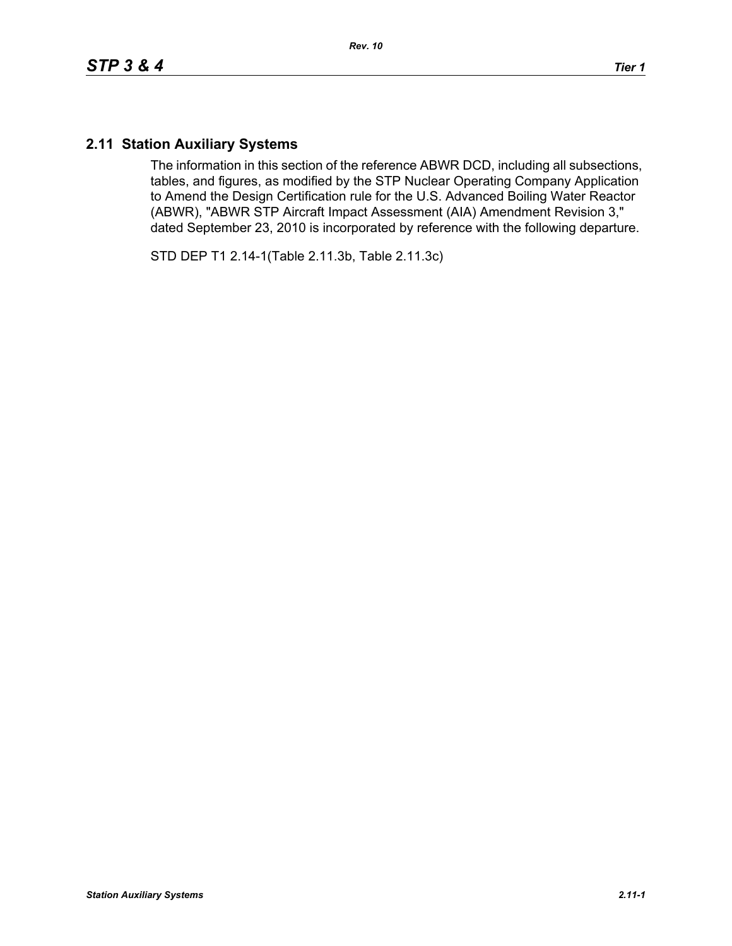## **2.11 Station Auxiliary Systems**

The information in this section of the reference ABWR DCD, including all subsections, tables, and figures, as modified by the STP Nuclear Operating Company Application to Amend the Design Certification rule for the U.S. Advanced Boiling Water Reactor (ABWR), "ABWR STP Aircraft Impact Assessment (AIA) Amendment Revision 3," dated September 23, 2010 is incorporated by reference with the following departure.

STD DEP T1 2.14-1(Table 2.11.3b, Table 2.11.3c)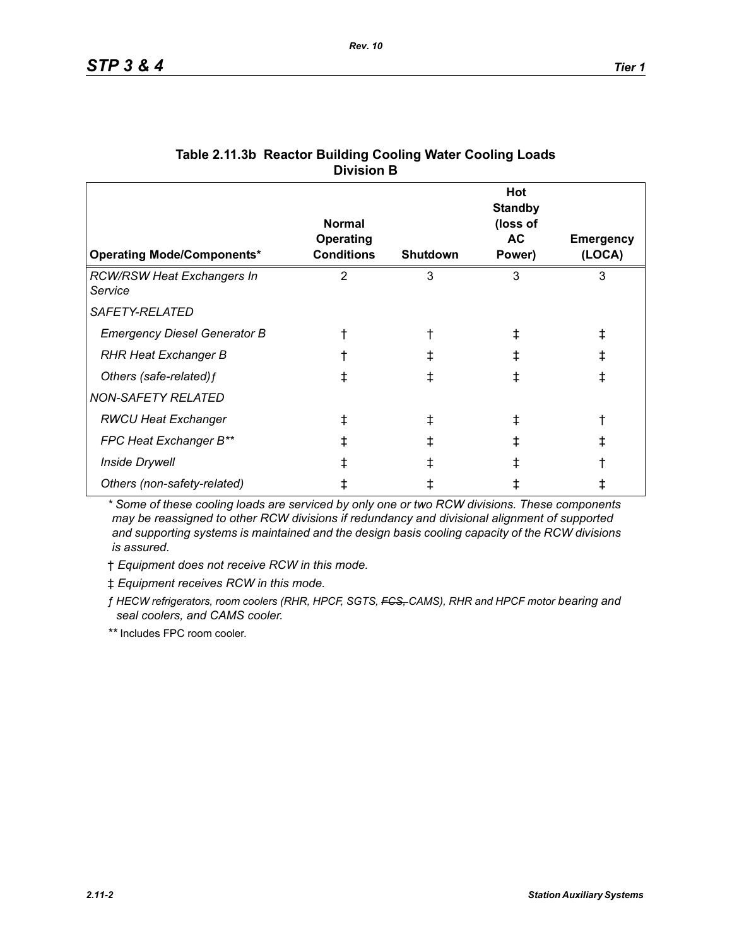| <b>Operating Mode/Components*</b>            | <b>Normal</b><br>Operating<br><b>Conditions</b> | <b>Shutdown</b> | Hot<br><b>Standby</b><br>(loss of<br><b>AC</b><br>Power) | <b>Emergency</b><br>(LOCA) |
|----------------------------------------------|-------------------------------------------------|-----------------|----------------------------------------------------------|----------------------------|
| <b>RCW/RSW Heat Exchangers In</b><br>Service | $\overline{2}$                                  | 3               | 3                                                        | 3                          |
| <i>SAFETY-RELATED</i>                        |                                                 |                 |                                                          |                            |
| <b>Emergency Diesel Generator B</b>          |                                                 |                 |                                                          | ŧ                          |
| <b>RHR Heat Exchanger B</b>                  |                                                 |                 | ∓                                                        | ŧ                          |
| Others (safe-related) f                      | ŧ                                               |                 |                                                          | ŧ                          |
| <b>NON-SAFETY RELATED</b>                    |                                                 |                 |                                                          |                            |
| <b>RWCU Heat Exchanger</b>                   | ŧ                                               |                 |                                                          |                            |
| FPC Heat Exchanger B**                       | ŧ                                               |                 |                                                          | ŧ                          |
| <b>Inside Drywell</b>                        |                                                 |                 |                                                          |                            |
| Others (non-safety-related)                  |                                                 |                 |                                                          |                            |

## **Table 2.11.3b Reactor Building Cooling Water Cooling Loads Division B**

*\* Some of these cooling loads are serviced by only one or two RCW divisions. These components may be reassigned to other RCW divisions if redundancy and divisional alignment of supported and supporting systems is maintained and the design basis cooling capacity of the RCW divisions is assured.*

† *Equipment does not receive RCW in this mode.*

‡ *Equipment receives RCW in this mode.*

*ƒ HECW refrigerators, room coolers (RHR, HPCF, SGTS, FCS, CAMS), RHR and HPCF motor bearing and seal coolers, and CAMS cooler.*

*\*\** Includes FPC room cooler.